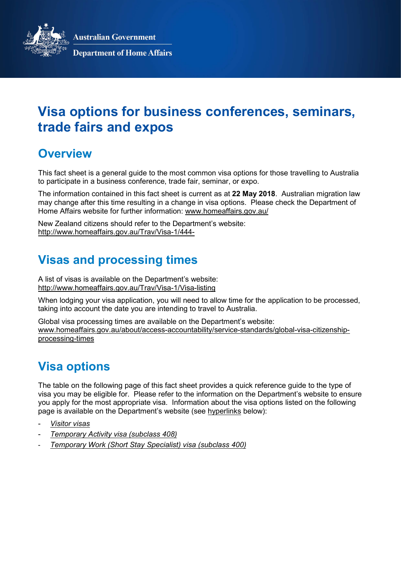**Australian Government** 



**Department of Home Affairs** 

# Visa options for business conferences, seminars, trade fairs and expos

#### **Overview**

This fact sheet is a general guide to the most common visa options for those travelling to Australia to participate in a business conference, trade fair, seminar, or expo.

The information contained in this fact sheet is current as at 22 May 2018. Australian migration law may change after this time resulting in a change in visa options. Please check the Department of Home Affairs website for further information: www.homeaffairs.gov.au/

New Zealand citizens should refer to the Department's website: http://www.homeaffairs.gov.au/Trav/Visa-1/444-

## Visas and processing times

A list of visas is available on the Department's website: http://www.homeaffairs.gov.au/Trav/Visa-1/Visa-listing

When lodging your visa application, you will need to allow time for the application to be processed, taking into account the date you are intending to travel to Australia.

Global visa processing times are available on the Department's website: www.homeaffairs.gov.au/about/access-accountability/service-standards/global-visa-citizenshipprocessing-times

## Visa options

The table on the following page of this fact sheet provides a quick reference guide to the type of visa you may be eligible for. Please refer to the information on the Department's website to ensure you apply for the most appropriate visa. Information about the visa options listed on the following page is available on the Department's website (see hyperlinks below):

- **Visitor visas**
- Temporary Activity visa (subclass 408)
- Temporary Work (Short Stay Specialist) visa (subclass 400)